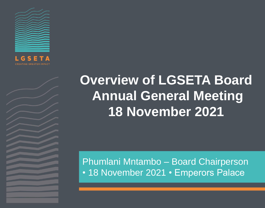

# **Overview of LGSETA Board Annual General Meeting 18 November 2021**

Phumlani Mntambo – Board Chairperson • 18 November 2021 • Emperors Palace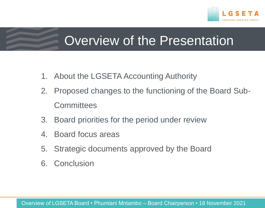

# Overview of the Presentation

- 1. About the LGSETA Accounting Authority
- 2. Proposed changes to the functioning of the Board Sub-**Committees**
- 3. Board priorities for the period under review
- 4. Board focus areas
- 5. Strategic documents approved by the Board
- 6. Conclusion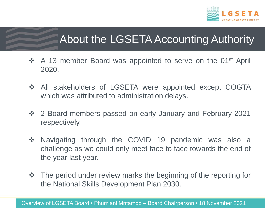

# About the LGSETA Accounting Authority

- ❖ A 13 member Board was appointed to serve on the 01<sup>st</sup> April 2020.
- $\triangle$  All stakeholders of LGSETA were appointed except COGTA which was attributed to administration delays.
- 2 Board members passed on early January and February 2021 respectively.
- ◆ Navigating through the COVID 19 pandemic was also a challenge as we could only meet face to face towards the end of the year last year.
- $\triangle$  The period under review marks the beginning of the reporting for the National Skills Development Plan 2030.

Overview of LGSETA Board • Phumlani Mntambo – Board Chairperson • 18 November 2021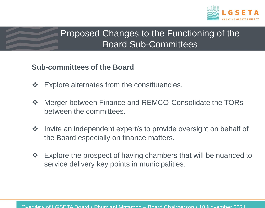

### Proposed Changes to the Functioning of the Board Sub-Committees

#### **Sub-committees of the Board**

- $\div$  Explore alternates from the constituencies.
- ❖ Merger between Finance and REMCO-Consolidate the TORs between the committees.
- Invite an independent expert/s to provide oversight on behalf of the Board especially on finance matters.
- ❖ Explore the prospect of having chambers that will be nuanced to service delivery key points in municipalities.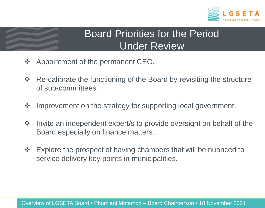

### Board Priorities for the Period Under Review

- ❖ Appointment of the permanent CEO.
- **\*** Re-calibrate the functioning of the Board by revisiting the structure of sub-committees.
- ❖ Improvement on the strategy for supporting local government.
- $\triangle$  Invite an independent expert/s to provide oversight on behalf of the Board especially on finance matters.
- **Explore the prospect of having chambers that will be nuanced to** service delivery key points in municipalities.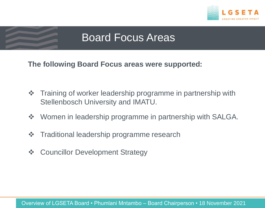

## Board Focus Areas

**The following Board Focus areas were supported:**

- $\triangle$  Training of worker leadership programme in partnership with Stellenbosch University and IMATU.
- ❖ Women in leadership programme in partnership with SALGA.
- **❖** Traditional leadership programme research
- ❖ Councillor Development Strategy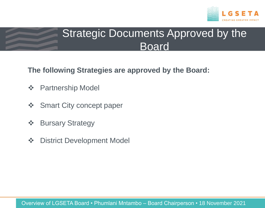

## Strategic Documents Approved by the Board

**The following Strategies are approved by the Board:**

- **❖** Partnership Model
- ❖ Smart City concept paper
- ❖ Bursary Strategy
- **❖** District Development Model